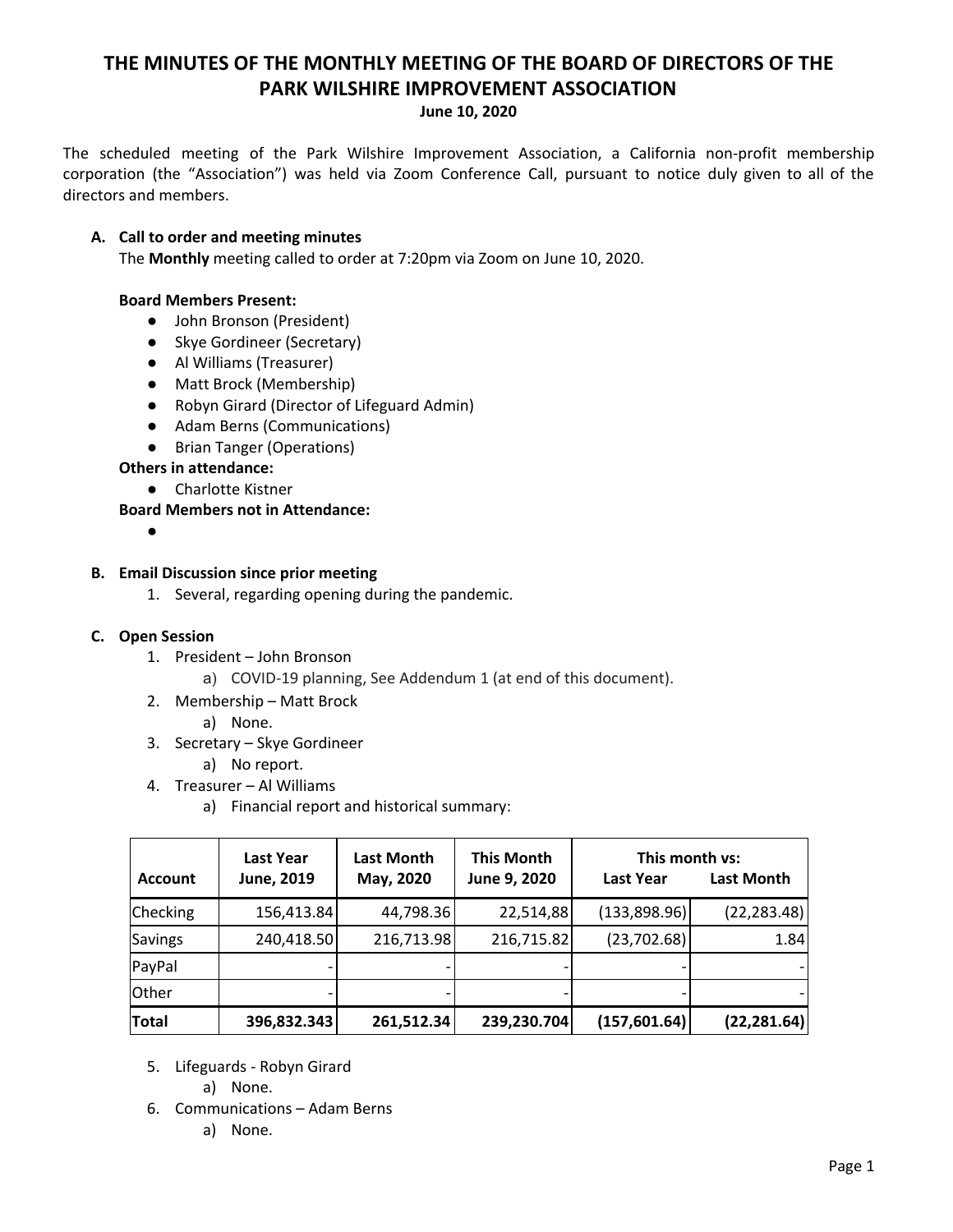# **THE MINUTES OF THE MONTHLY MEETING OF THE BOARD OF DIRECTORS OF THE PARK WILSHIRE IMPROVEMENT ASSOCIATION**

### **June 10, 2020**

The scheduled meeting of the Park Wilshire Improvement Association, a California non-profit membership corporation (the "Association") was held via Zoom Conference Call, pursuant to notice duly given to all of the directors and members.

## **A. Call to order and meeting minutes**

The **Monthly** meeting called to order at 7:20pm via Zoom on June 10, 2020.

## **Board Members Present:**

- John Bronson (President)
- Skye Gordineer (Secretary)
- **●** Al Williams (Treasurer)
- Matt Brock (Membership)
- Robyn Girard (Director of Lifeguard Admin)
- Adam Berns (Communications)
- Brian Tanger (Operations)

## **Others in attendance:**

● Charlotte Kistner

**Board Members not in Attendance:**

 $\bullet$ 

## **B. Email Discussion since prior meeting**

1. Several, regarding opening during the pandemic.

## **C. Open Session**

- 1. President John Bronson
	- a) COVID-19 planning, See Addendum 1 (at end of this document).
- 2. Membership Matt Brock
	- a) None.
- 3. Secretary Skye Gordineer

a) No report.

- 4. Treasurer Al Williams
	- a) Financial report and historical summary:

| <b>Account</b> | <b>Last Year</b><br>June, 2019 | <b>Last Month</b><br>May, 2020 | <b>This Month</b><br>June 9, 2020 | This month vs:<br>Last Year | Last Month   |
|----------------|--------------------------------|--------------------------------|-----------------------------------|-----------------------------|--------------|
| Checking       | 156,413.84                     | 44,798.36                      | 22,514,88                         | (133,898.96)                | (22, 283.48) |
| <b>Savings</b> | 240,418.50                     | 216,713.98                     | 216,715.82                        | (23, 702.68)                | 1.84         |
| PayPal         |                                |                                |                                   |                             |              |
| <b>Other</b>   |                                |                                |                                   |                             |              |
| <b>Total</b>   | 396,832.343                    | 261,512.34                     | 239,230.704                       | (157, 601.64)               | (22, 281.64) |

- 5. Lifeguards Robyn Girard
	- a) None.
- 6. Communications Adam Berns
	- a) None.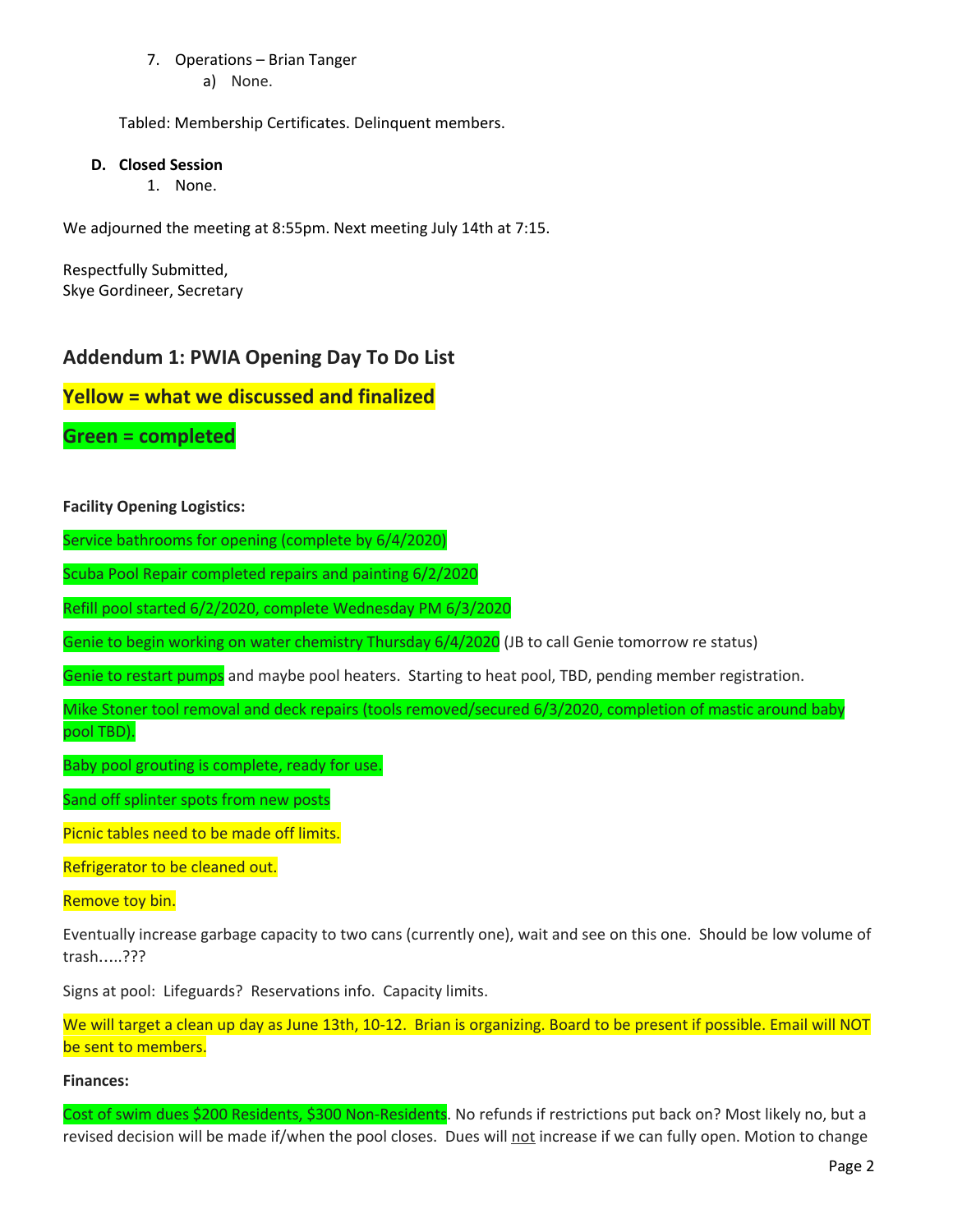## 7. Operations – Brian Tanger

a) None.

Tabled: Membership Certificates. Delinquent members.

## **D. Closed Session**

1. None.

We adjourned the meeting at 8:55pm. Next meeting July 14th at 7:15.

Respectfully Submitted, Skye Gordineer, Secretary

## **Addendum 1: PWIA Opening Day To Do List**

## **Yellow = what we discussed and finalized**

**Green = completed**

**Facility Opening Logistics:**

Service bathrooms for opening (complete by 6/4/2020)

Scuba Pool Repair completed repairs and painting 6/2/2020

Refill pool started 6/2/2020, complete Wednesday PM 6/3/2020

Genie to begin working on water chemistry Thursday 6/4/2020 (JB to call Genie tomorrow re status)

Genie to restart pumps and maybe pool heaters. Starting to heat pool, TBD, pending member registration.

Mike Stoner tool removal and deck repairs (tools removed/secured 6/3/2020, completion of mastic around baby pool TBD).

Baby pool grouting is complete, ready for use.

Sand off splinter spots from new posts

Picnic tables need to be made off limits.

Refrigerator to be cleaned out.

Remove toy bin.

Eventually increase garbage capacity to two cans (currently one), wait and see on this one. Should be low volume of trash…..???

Signs at pool: Lifeguards? Reservations info. Capacity limits.

We will target a clean up day as June 13th, 10-12. Brian is organizing. Board to be present if possible. Email will NOT be sent to members.

## **Finances:**

Cost of swim dues \$200 Residents, \$300 Non-Residents. No refunds if restrictions put back on? Most likely no, but a revised decision will be made if/when the pool closes. Dues will not increase if we can fully open. Motion to change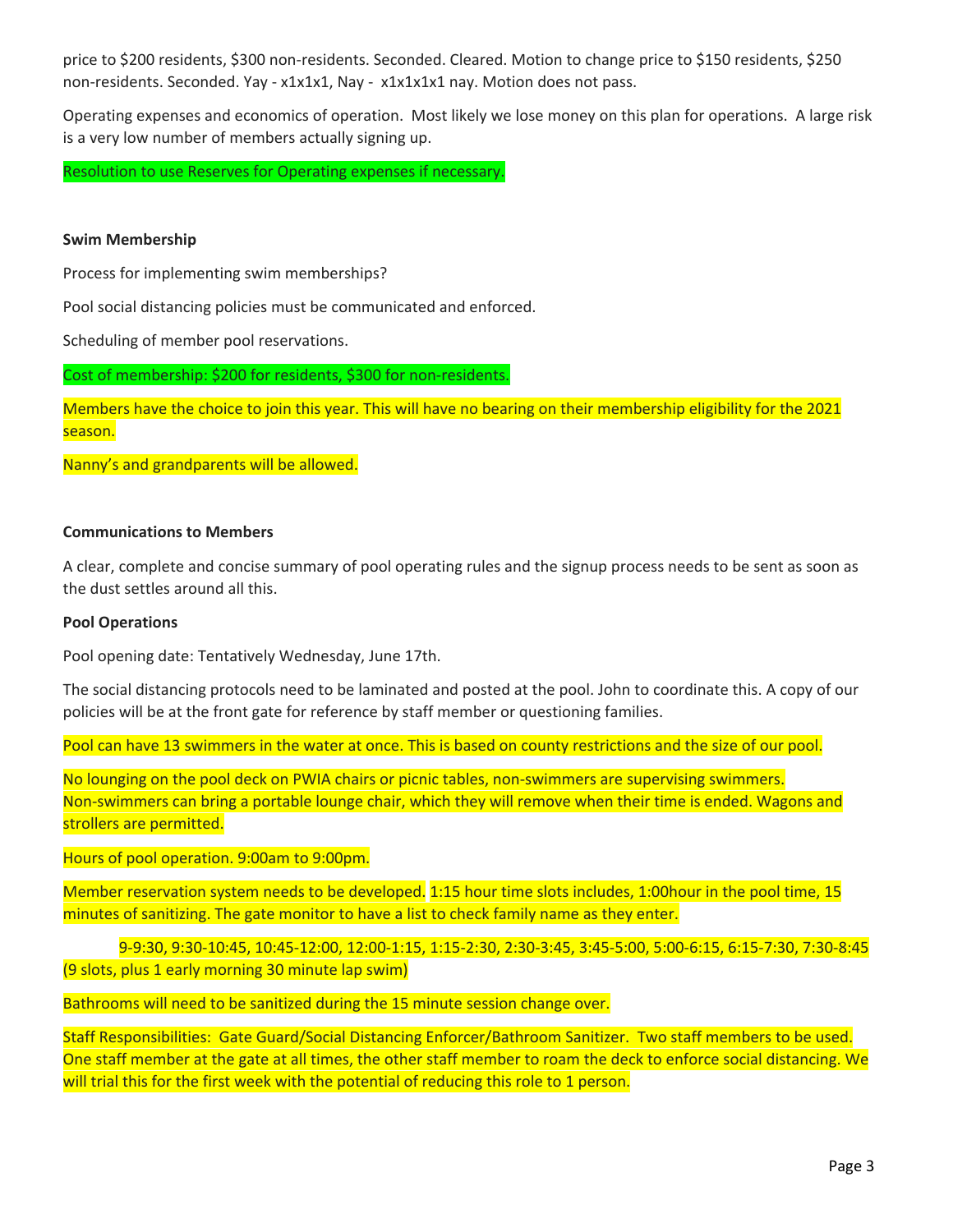price to \$200 residents, \$300 non-residents. Seconded. Cleared. Motion to change price to \$150 residents, \$250 non-residents. Seconded. Yay - x1x1x1, Nay - x1x1x1x1 nay. Motion does not pass.

Operating expenses and economics of operation. Most likely we lose money on this plan for operations. A large risk is a very low number of members actually signing up.

Resolution to use Reserves for Operating expenses if necessary.

### **Swim Membership**

Process for implementing swim memberships?

Pool social distancing policies must be communicated and enforced.

Scheduling of member pool reservations.

Cost of membership: \$200 for residents, \$300 for non-residents.

Members have the choice to join this year. This will have no bearing on their membership eligibility for the 2021 season.

Nanny's and grandparents will be allowed.

### **Communications to Members**

A clear, complete and concise summary of pool operating rules and the signup process needs to be sent as soon as the dust settles around all this.

#### **Pool Operations**

Pool opening date: Tentatively Wednesday, June 17th.

The social distancing protocols need to be laminated and posted at the pool. John to coordinate this. A copy of our policies will be at the front gate for reference by staff member or questioning families.

Pool can have 13 swimmers in the water at once. This is based on county restrictions and the size of our pool.

No lounging on the pool deck on PWIA chairs or picnic tables, non-swimmers are supervising swimmers. Non-swimmers can bring a portable lounge chair, which they will remove when their time is ended. Wagons and strollers are permitted.

Hours of pool operation. 9:00am to 9:00pm.

Member reservation system needs to be developed. 1:15 hour time slots includes, 1:00hour in the pool time, 15 minutes of sanitizing. The gate monitor to have a list to check family name as they enter.

9-9:30, 9:30-10:45, 10:45-12:00, 12:00-1:15, 1:15-2:30, 2:30-3:45, 3:45-5:00, 5:00-6:15, 6:15-7:30, 7:30-8:45 (9 slots, plus 1 early morning 30 minute lap swim)

Bathrooms will need to be sanitized during the 15 minute session change over.

Staff Responsibilities: Gate Guard/Social Distancing Enforcer/Bathroom Sanitizer. Two staff members to be used. One staff member at the gate at all times, the other staff member to roam the deck to enforce social distancing. We will trial this for the first week with the potential of reducing this role to 1 person.